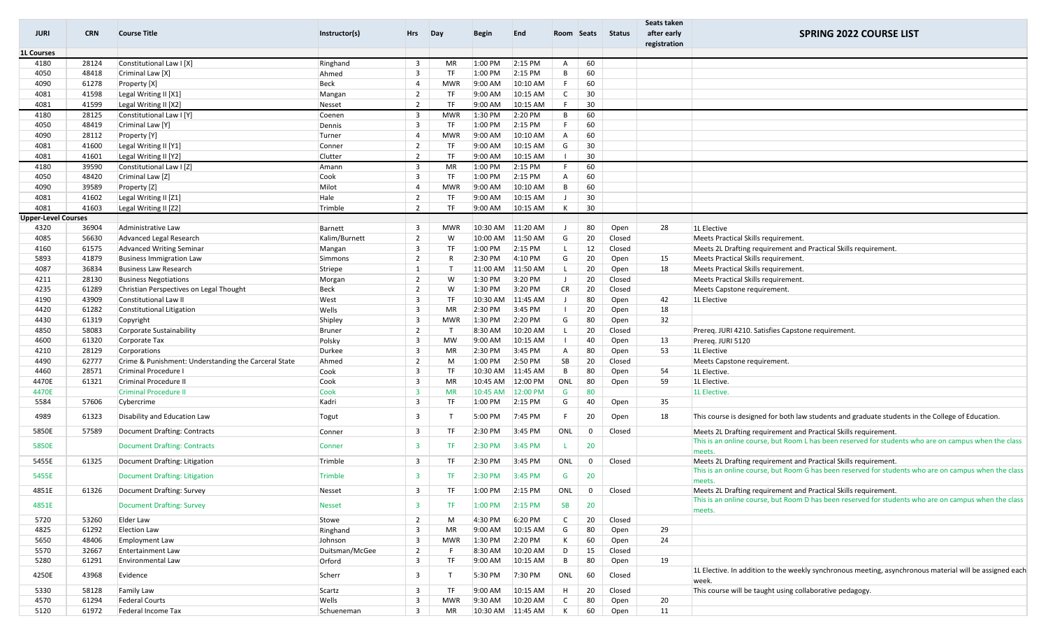| <b>JURI</b>                | <b>CRN</b>     | <b>Course Title</b>                                                   | Instructor(s)           | Hrs                                       | Day              | Begin               | End                  | Room Seats        |                   | Status         | Seats taken<br>after early<br>registration | <b>SPRING 2022 COURSE LIST</b>                                                                                                                                          |
|----------------------------|----------------|-----------------------------------------------------------------------|-------------------------|-------------------------------------------|------------------|---------------------|----------------------|-------------------|-------------------|----------------|--------------------------------------------|-------------------------------------------------------------------------------------------------------------------------------------------------------------------------|
| <b>1L Courses</b>          |                |                                                                       |                         |                                           |                  |                     |                      |                   |                   |                |                                            |                                                                                                                                                                         |
| 4180                       | 28124          | Constitutional Law I [X]                                              | Ringhand                | $\overline{3}$                            | MR               | 1:00 PM             | 2:15 PM              | A                 | 60                |                |                                            |                                                                                                                                                                         |
| 4050                       | 48418          | Criminal Law [X]                                                      | Ahmed                   | $\overline{3}$                            | TF               | 1:00 PM             | 2:15 PM              | В                 | 60                |                |                                            |                                                                                                                                                                         |
| 4090                       | 61278          | Property [X]                                                          | Beck                    | $\overline{4}$                            | MWR              | 9:00 AM             | 10:10 AM             | F                 | 60                |                |                                            |                                                                                                                                                                         |
| 4081                       | 41598          | Legal Writing II [X1]                                                 | Mangan                  | $\overline{2}$                            | TF               | 9:00 AM             | 10:15 AM             | $\mathsf{C}$      | 30                |                |                                            |                                                                                                                                                                         |
| 4081                       | 41599          | Legal Writing II [X2]                                                 | Nesset                  | $\overline{2}$                            | TF               | 9:00 AM             | 10:15 AM             | F.                | 30                |                |                                            |                                                                                                                                                                         |
| 4180                       | 28125          | Constitutional Law I [Y]                                              | Coenen                  | 3                                         | <b>MWR</b>       | 1:30 PM             | 2:20 PM              | B                 | 60                |                |                                            |                                                                                                                                                                         |
| 4050                       | 48419          | Criminal Law [Y]                                                      | Dennis                  | $\overline{3}$                            | TF               | 1:00 PM             | $2:15$ PM            | F                 | 60                |                |                                            |                                                                                                                                                                         |
| 4090                       | 28112          | Property [Y]                                                          | Turner                  | 4                                         | MWR              | 9:00 AM             | 10:10 AM             | A                 | 60                |                |                                            |                                                                                                                                                                         |
| 4081                       | 41600          | Legal Writing II [Y1]                                                 | Conner                  | $\overline{2}$                            | TF               | 9:00 AM             | 10:15 AM             | G                 | 30                |                |                                            |                                                                                                                                                                         |
| 4081                       | 41601          | Legal Writing II [Y2]                                                 | Clutter                 | $\overline{2}$                            | TF               | 9:00 AM             | 10:15 AM             |                   | 30                |                |                                            |                                                                                                                                                                         |
| 4180                       | 39590          | Constitutional Law I [Z]                                              | Amann                   | $\overline{3}$                            | MR               | 1:00 PM             | 2:15 PM              | F.                | 60                |                |                                            |                                                                                                                                                                         |
| 4050                       | 48420          | Criminal Law [Z]                                                      | Cook                    | $\overline{3}$                            | TF               | 1:00 PM             | 2:15 PM              | A                 | 60                |                |                                            |                                                                                                                                                                         |
| 4090                       | 39589          | Property [Z]                                                          | Milot                   | $\overline{4}$                            | MWR              | 9:00 AM             | 10:10 AM             | B                 | 60                |                |                                            |                                                                                                                                                                         |
| 4081                       | 41602          | Legal Writing II [Z1]                                                 | Hale                    | $\overline{2}$                            | TF               | 9:00 AM             | 10:15 AM             |                   | 30                |                |                                            |                                                                                                                                                                         |
| 4081                       | 41603          | Legal Writing II [Z2]                                                 | Trimble                 | $\overline{2}$                            | TF               | 9:00 AM             | 10:15 AM             | К                 | 30                |                |                                            |                                                                                                                                                                         |
| <b>Upper-Level Courses</b> |                |                                                                       |                         |                                           |                  |                     |                      |                   |                   |                |                                            |                                                                                                                                                                         |
| 4320                       | 36904          | Administrative Law                                                    | Barnett                 | $\overline{3}$                            | MWR              | 10:30 AM            | 11:20 AM             | J                 | 80                | Open           | 28                                         | 1L Elective                                                                                                                                                             |
| 4085                       | 56630          | Advanced Legal Research                                               | Kalim/Burnett           | $\overline{2}$                            | W                | 10:00 AM            | 11:50 AM             | G                 | 20                | Closed         |                                            | Meets Practical Skills requirement.                                                                                                                                     |
| 4160                       | 61575          | <b>Advanced Writing Seminar</b>                                       | Mangan                  | $\overline{3}$                            | TF               | 1:00 PM             | 2:15 PM              | L.                | 12                | Closed         |                                            | Meets 2L Drafting requirement and Practical Skills requirement                                                                                                          |
| 5893                       | 41879          | <b>Business Immigration Law</b>                                       | Simmons                 | $\overline{2}$                            | R                | 2:30 PM             | 4:10 PM              | G                 | 20                | Open           | 15                                         | Meets Practical Skills requirement.                                                                                                                                     |
| 4087                       | 36834          | <b>Business Law Research</b>                                          | Striepe                 | 1                                         | $\mathbf{T}$     | 11:00 AM            | 11:50 AM             | L                 | 20                | Open           | 18                                         | Meets Practical Skills requirement.                                                                                                                                     |
| 4211                       | 28130          | <b>Business Negotiations</b>                                          | Morgan                  | $\overline{2}$                            | W                | 1:30 PM             | 3:20 PM              | J                 | 20                | Closed         |                                            | Meets Practical Skills requirement.                                                                                                                                     |
| 4235                       | 61289          | Christian Perspectives on Legal Thought                               | Beck                    | $\overline{2}$                            | W                | 1:30 PM             | 3:20 PM              | <b>CR</b>         | 20                | Closed         |                                            | Meets Capstone requirement.                                                                                                                                             |
| 4190                       | 43909          | Constitutional Law II                                                 | West                    | $\overline{3}$<br>$\overline{3}$          | TF               | 10:30 AM<br>2:30 PM | 11:45 AM<br>3:45 PM  | J<br>$\mathbf{I}$ | 80                | Open           | 42                                         | 1L Elective                                                                                                                                                             |
| 4420<br>4430               | 61282<br>61319 | Constitutional Litigation                                             | Wells                   | $\overline{3}$                            | <b>MR</b><br>MWR | 1:30 PM             | 2:20 PM              | G                 | 20<br>80          | Open           | 18<br>32                                   |                                                                                                                                                                         |
| 4850                       | 58083          | Copyright                                                             | Shipley                 | $\overline{2}$                            | $\mathsf{T}$     | 8:30 AM             | 10:20 AM             | L                 | 20                | Open<br>Closed |                                            |                                                                                                                                                                         |
| 4600                       | 61320          | Corporate Sustainability<br>Corporate Tax                             | <b>Bruner</b><br>Polsky | $\overline{3}$                            | MW               | 9:00 AM             | 10:15 AM             |                   | 40                | Open           | 13                                         | Prereq. JURI 4210. Satisfies Capstone requirement.<br>Prereg. JURI 5120                                                                                                 |
| 4210                       | 28129          | Corporations                                                          | Durkee                  | $\overline{3}$                            | MR               | 2:30 PM             | 3:45 PM              | A                 | 80                | Open           | 53                                         | 1L Elective                                                                                                                                                             |
| 4490                       | 62777          | Crime & Punishment: Understanding the Carceral State                  | Ahmed                   | $\overline{2}$                            | M                | 1:00 PM             | 2:50 PM              | SB                | 20                | Closed         |                                            | Meets Capstone requirement.                                                                                                                                             |
| 4460                       | 28571          | Criminal Procedure I                                                  | Cook                    | $\overline{3}$                            | TF               | 10:30 AM            | 11:45 AM             | B                 | 80                | Open           | 54                                         | 1L Elective.                                                                                                                                                            |
| 4470E                      | 61321          | <b>Criminal Procedure II</b>                                          | Cook                    | $\overline{3}$                            | MR               | 10:45 AM            | 12:00 PM             | ONL               | 80                | Open           | 59                                         | 1L Elective.                                                                                                                                                            |
| 4470E                      |                | <b>Criminal Procedure II</b>                                          | Cook                    | $\overline{\mathbf{3}}$                   | <b>MR</b>        | 10:45 AM            | 12:00 PM             | G                 | 80                |                |                                            | 1L Elective.                                                                                                                                                            |
| 5584                       | 57606          | Cybercrime                                                            | Kadri                   | $\overline{3}$                            | TF               | 1:00 PM             | 2:15 PM              | G                 | 40                | Open           | 35                                         |                                                                                                                                                                         |
| 4989                       | 61323          | Disability and Education Law                                          | Togut                   | $\overline{3}$                            | т                | 5:00 PM             | 7:45 PM              | F                 | 20                | Open           | 18                                         | This course is designed for both law students and graduate students in the College of Education.                                                                        |
| 5850E                      | 57589          | Document Drafting: Contracts                                          | Conner                  | $\overline{3}$                            | TF               | 2:30 PM             | 3:45 PM              | ONL               | $\mathbf 0$       | Closed         |                                            | Meets 2L Drafting requirement and Practical Skills requirement.                                                                                                         |
| 5850E                      |                | Document Drafting: Contracts                                          | Conner                  | 3                                         | TF.              | 2:30 PM             | 3:45 PM              |                   | 20                |                |                                            | This is an online course, but Room L has been reserved for students who are on campus when the class                                                                    |
|                            |                |                                                                       |                         |                                           |                  |                     |                      |                   |                   |                |                                            | meets.                                                                                                                                                                  |
| 5455E<br>5455E             | 61325          | Document Drafting: Litigation<br><b>Document Drafting: Litigation</b> | Trimble<br>Trimble      | 3<br>3                                    | TF<br>TF.        | 2:30 PM<br>2:30 PM  | 3:45 PM<br>$3:45$ PM | ONL<br>G          | 0<br>20           | Closed         |                                            | Meets 2L Drafting requirement and Practical Skills requirement.<br>This is an online course, but Room G has been reserved for students who are on campus when the class |
|                            |                |                                                                       |                         |                                           |                  |                     |                      |                   |                   |                |                                            | meets                                                                                                                                                                   |
| 4851E<br>4851E             | 61326          | Document Drafting: Survey<br><b>Document Drafting: Survey</b>         | Nesset<br><b>Nesset</b> | $\overline{3}$<br>$\overline{\mathbf{3}}$ | TF<br>TF.        | 1:00 PM<br>1:00 PM  | 2:15 PM<br>2:15 PM   | ONL<br><b>SB</b>  | $\mathbf 0$<br>20 | Closed         |                                            | Meets 2L Drafting requirement and Practical Skills requirement.<br>This is an online course, but Room D has been reserved for students who are on campus when the class |
|                            |                |                                                                       |                         |                                           |                  |                     |                      |                   |                   |                |                                            | meets.                                                                                                                                                                  |
| 5720                       | 53260          | Elder Law                                                             | Stowe                   | $\overline{2}$                            | M                | 4:30 PM             | 6:20 PM              | $\mathsf{C}$      | 20                | Closed         |                                            |                                                                                                                                                                         |
| 4825                       | 61292          | <b>Election Law</b>                                                   | Ringhand                | $\overline{3}$                            | MR               | 9:00 AM             | 10:15 AM             | G                 | 80                | Open           | 29                                         |                                                                                                                                                                         |
| 5650                       | 48406          | <b>Employment Law</b>                                                 | Johnson                 | $\overline{\mathbf{3}}$                   | <b>MWR</b>       | 1:30 PM             | 2:20 PM              | К                 | 60                | Open           | 24                                         |                                                                                                                                                                         |
| 5570                       | 32667          | <b>Entertainment Law</b>                                              | Duitsman/McGee          | $\overline{2}$                            | F.               | 8:30 AM             | 10:20 AM             | D                 | 15                | Closed         |                                            |                                                                                                                                                                         |
| 5280                       | 61291          | Environmental Law                                                     | Orford                  | $\overline{\mathbf{3}}$                   | TF               | 9:00 AM             | 10:15 AM             | B                 | 80                | Open           | 19                                         |                                                                                                                                                                         |
| 4250E                      | 43968          | Evidence                                                              | Scherr                  | $\overline{3}$                            |                  | 5:30 PM             | 7:30 PM              | ONL               | 60                | Closed         |                                            | 1L Elective. In addition to the weekly synchronous meeting, asynchronous material will be assigned each<br>week.                                                        |
| 5330                       | 58128          | <b>Family Law</b>                                                     | Scartz                  | $\overline{\mathbf{3}}$                   | TF               | 9:00 AM             | 10:15 AM             | H                 | 20                | Closed         |                                            | This course will be taught using collaborative pedagogy.                                                                                                                |
| 4570                       | 61294          | <b>Federal Courts</b>                                                 | Wells                   | $\overline{\mathbf{3}}$                   | <b>MWR</b>       | 9:30 AM             | 10:20 AM             | C                 | 80                | Open           | 20                                         |                                                                                                                                                                         |
| 5120                       | 61972          | Federal Income Tax                                                    | Schueneman              | $\overline{3}$                            | MR               | 10:30 AM 11:45 AM   |                      | K                 | 60                | Open           | 11                                         |                                                                                                                                                                         |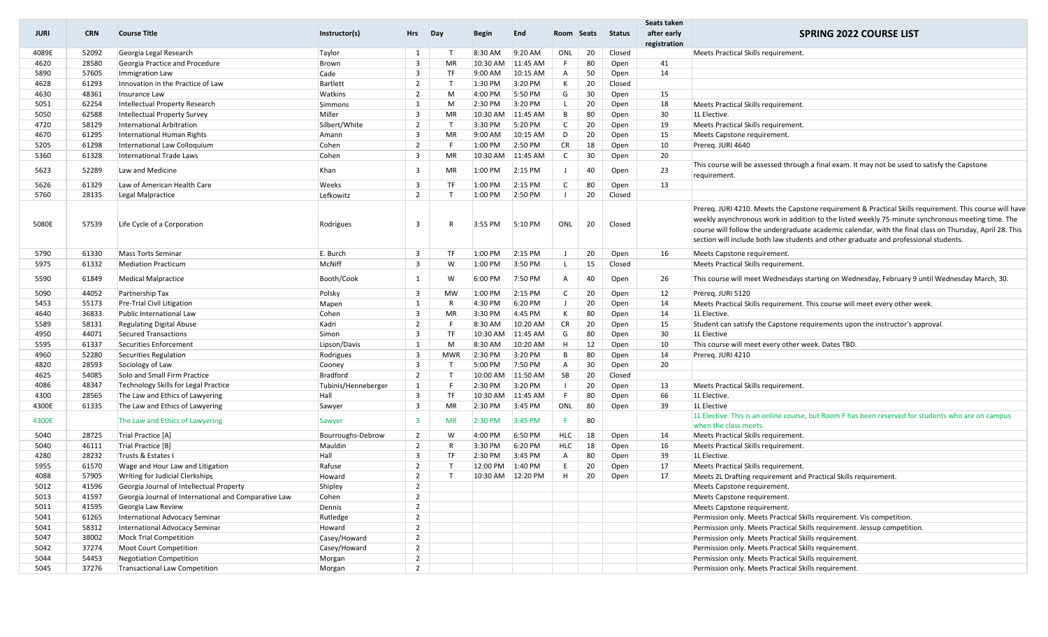| <b>JURI</b> | <b>CRN</b> | <b>Course Title</b>                                  | Instructor(s)       | Hrs                     | Day        | <b>Begin</b> | End      | Room Seats   |    | <b>Status</b> | Seats taken<br>after early | <b>SPRING 2022 COURSE LIST</b>                                                                                |
|-------------|------------|------------------------------------------------------|---------------------|-------------------------|------------|--------------|----------|--------------|----|---------------|----------------------------|---------------------------------------------------------------------------------------------------------------|
|             |            |                                                      |                     |                         |            |              |          |              |    |               | registration               |                                                                                                               |
| 4089E       | 52092      | Georgia Legal Research                               | Taylor              | 1                       |            | 8:30 AM      | 9:20 AM  | ONL          | 20 | Closed        |                            | Meets Practical Skills requirement.                                                                           |
| 4620        | 28580      | Georgia Practice and Procedure                       | Brown               | $\overline{3}$          | MR         | 10:30 AM     | 11:45 AM | F.           | 80 | Open          | 41                         |                                                                                                               |
| 5890        | 57605      | <b>Immigration Law</b>                               | Cade                | 3                       | TF         | 9:00 AM      | 10:15 AM | $\mathsf{A}$ | 50 | Open          | 14                         |                                                                                                               |
| 4628        | 61293      | Innovation in the Practice of Law                    | Bartlett            | $\overline{2}$          |            | 1:30 PM      | 3:20 PM  | К            | 20 | Closed        |                            |                                                                                                               |
| 4630        | 48361      | Insurance Law                                        | Watkins             | 2                       | M          | 4:00 PM      | 5:50 PM  | G            | 30 | Open          | 15                         |                                                                                                               |
| 5051        | 62254      | Intellectual Property Research                       | Simmons             | 1                       | M          | 2:30 PM      | 3:20 PM  | L.           | 20 | Open          | 18                         | Meets Practical Skills requirement.                                                                           |
| 5050        | 62588      | Intellectual Property Survey                         | Miller              | $\overline{3}$          | MR         | 10:30 AM     | 11:45 AM | B            | 80 | Open          | 30                         | 1L Elective.                                                                                                  |
| 4720        | 58129      | International Arbitration                            | Silbert/White       | $\overline{2}$          |            | 3:30 PM      | 5:20 PM  | $\mathsf{C}$ | 20 | Open          | 19                         | Meets Practical Skills requirement.                                                                           |
| 4670        | 61295      | International Human Rights                           | Amann               | $\overline{3}$          | <b>MR</b>  | 9:00 AM      | 10:15 AM | D            | 20 | Open          | 15                         | Meets Capstone requirement.                                                                                   |
| 5205        | 61298      | International Law Colloquium                         | Cohen               | $\overline{2}$          |            | 1:00 PM      | 2:50 PM  | <b>CR</b>    | 18 | Open          | 10                         | Prereg. JURI 4640                                                                                             |
| 5360        | 61328      | <b>International Trade Laws</b>                      | Cohen               | $\overline{3}$          | <b>MR</b>  | 10:30 AM     | 11:45 AM | $\mathsf{C}$ | 30 | Open          | 20                         |                                                                                                               |
| 5623        | 52289      | Law and Medicine                                     | Khan                | 3                       | MR         | 1:00 PM      | 2:15 PM  |              | 40 | Open          | 23                         | This course will be assessed through a final exam. It may not be used to satisfy the Capstone<br>requirement. |
| 5626        | 61329      | Law of American Health Care                          | Weeks               | $\overline{\mathbf{3}}$ | TF         | 1:00 PM      | 2:15 PM  | $\mathsf{C}$ | 80 | Open          | 13                         |                                                                                                               |
| 5760        | 28135      | Legal Malpractice                                    | Lefkowitz           | $\overline{2}$          | T          | 1:00 PM      | 2:50 PM  | $\mathbf{I}$ | 20 | Closed        |                            |                                                                                                               |
|             |            |                                                      |                     |                         |            |              |          |              |    |               |                            |                                                                                                               |
|             |            |                                                      |                     |                         |            |              |          |              |    |               |                            | Prereg. JURI 4210. Meets the Capstone requirement & Practical Skills requirement. This course will have       |
| 5080E       | 57539      | Life Cycle of a Corporation                          | Rodrigues           | 3                       |            | 3:55 PM      | 5:10 PM  | ONL          | 20 | Closed        |                            | weekly asynchronous work in addition to the listed weekly 75-minute synchronous meeting time. The             |
|             |            |                                                      |                     |                         |            |              |          |              |    |               |                            | course will follow the undergraduate academic calendar, with the final class on Thursday, April 28. This      |
|             |            |                                                      |                     |                         |            |              |          |              |    |               |                            | section will include both law students and other graduate and professional students.                          |
| 5790        | 61330      | <b>Mass Torts Seminar</b>                            | E. Burch            | $\overline{3}$          | <b>TF</b>  | 1:00 PM      | 2:15 PM  | J.           | 20 | Open          | 16                         | Meets Capstone requirement.                                                                                   |
| 5975        | 61332      | <b>Mediation Practicum</b>                           | McNiff              | $\overline{3}$          | W          | 1:00 PM      | 3:50 PM  | L.           | 15 | Closed        |                            | Meets Practical Skills requirement.                                                                           |
| 5590        | 61849      | <b>Medical Malpractice</b>                           | Booth/Cook          | 1                       | W          | 6:00 PM      | 7:50 PM  | Α            | 40 | Open          | 26                         | This course will meet Wednesdays starting on Wednesday, February 9 until Wednesday March, 30.                 |
| 5090        | 44052      | Partnership Tax                                      | Polsky              | $\overline{\mathbf{3}}$ | <b>MW</b>  | 1:00 PM      | 2:15 PM  | $\mathsf{C}$ | 20 | Open          | 12                         | Prereg. JURI 5120                                                                                             |
| 5453        | 55173      | <b>Pre-Trial Civil Litigation</b>                    | Mapen               | 1                       | R          | 4:30 PM      | 6:20 PM  | $\perp$      | 20 | Open          | 14                         | Meets Practical Skills requirement. This course will meet every other week.                                   |
| 4640        | 36833      | Public International Law                             | Cohen               | $\overline{3}$          | MR         | 3:30 PM      | 4:45 PM  | К            | 80 | Open          | 14                         | 1L Elective.                                                                                                  |
| 5589        | 58131      | <b>Regulating Digital Abuse</b>                      | Kadri               | $\overline{2}$          |            | 8:30 AM      | 10:20 AM | <b>CR</b>    | 20 | Open          | 15                         | Student can satisfy the Capstone requirements upon the instructor's approval                                  |
| 4950        | 44071      | Secured Transactions                                 | Simon               | $\overline{\mathbf{3}}$ | TF         | 10:30 AM     | 11:45 AM | G            | 80 | Open          | 30                         | 1L Elective                                                                                                   |
| 5595        | 61337      | Securities Enforcement                               | Lipson/Davis        | 1                       | M          | 8:30 AM      | 10:20 AM | H            | 12 | Open          | 10                         | This course will meet every other week. Dates TBD.                                                            |
| 4960        | 52280      | Securities Regulation                                | Rodrigues           | $\overline{3}$          | <b>MWR</b> | 2:30 PM      | 3:20 PM  | В            | 80 | Open          | 14                         | Prereg. JURI 4210                                                                                             |
| 4820        | 28593      | Sociology of Law                                     | Cooney              | $\overline{3}$          |            | 5:00 PM      | 7:50 PM  | $\mathsf{A}$ | 30 | Open          | 20                         |                                                                                                               |
| 4625        | 54085      | Solo and Small Firm Practice                         | Bradford            | 2                       | T          | 10:00 AM     | 11:50 AM | SB           | 20 | Closed        |                            |                                                                                                               |
| 4086        | 48347      | Technology Skills for Legal Practice                 | Tubinis/Henneberger | 1                       | F          | 2:30 PM      | 3:20 PM  | $\mathbf{I}$ | 20 | Open          | 13                         | Meets Practical Skills requirement.                                                                           |
| 4300        | 28565      | The Law and Ethics of Lawyering                      | Hall                | $\overline{3}$          | TF         | 10:30 AM     | 11:45 AM | F.           | 80 | Open          | 66                         | 1L Elective.                                                                                                  |
| 4300E       | 61335      | The Law and Ethics of Lawyering                      | Sawyer              | $\overline{3}$          | MR         | 2:30 PM      | 3:45 PM  | ONL          | 80 | Open          | 39                         | 1L Elective                                                                                                   |
| 4300E       |            | The Law and Ethics of Lawyering                      | Sawyer              | $\overline{\mathbf{3}}$ | <b>MR</b>  | 2:30 PM      | 3:45 PM  | F            | 80 |               |                            | 1L Elective. This is an online course, but Room F has been reserved for students who are on campus            |
|             |            |                                                      |                     |                         |            |              |          |              |    |               |                            | when the class meets.                                                                                         |
| 5040        | 28725      | Trial Practice [A]                                   | Bourroughs-Debrow   | $\overline{2}$          | W          | 4:00 PM      | 6:50 PM  | <b>HLC</b>   | 18 | Open          | 14                         | Meets Practical Skills requirement.                                                                           |
| 5040        | 46111      | Trial Practice [B]                                   | Mauldin             | $\overline{2}$          | R          | 3:30 PM      | 6:20 PM  | HLC          | 18 | Open          | 16                         | Meets Practical Skills requirement.                                                                           |
| 4280        | 28232      | Trusts & Estates I                                   | Hall                | $\overline{3}$          | TF         | 2:30 PM      | 3:45 PM  | $\mathsf{A}$ | 80 | Open          | 39                         | 1L Elective.                                                                                                  |
| 5955        | 61570      | Wage and Hour Law and Litigation                     | Rafuse              | $\overline{2}$          | T          | 12:00 PM     | 1:40 PM  | E.           | 20 | Open          | 17                         | Meets Practical Skills requirement.                                                                           |
| 4088        | 57905      | Writing for Judicial Clerkships                      | Howard              | $\overline{2}$          | T          | 10:30 AM     | 12:20 PM | H            | 20 | Open          | 17                         | Meets 2L Drafting requirement and Practical Skills requirement                                                |
| 5012        | 41596      | Georgia Journal of Intellectual Property             | Shipley             | $\overline{2}$          |            |              |          |              |    |               |                            | Meets Capstone requirement.                                                                                   |
| 5013        | 41597      | Georgia Journal of International and Comparative Law | Cohen               | $\overline{2}$          |            |              |          |              |    |               |                            | Meets Capstone requirement.                                                                                   |
| 5011        | 41595      | Georgia Law Review                                   | Dennis              | $\overline{2}$          |            |              |          |              |    |               |                            | Meets Capstone requirement.                                                                                   |
| 5041        | 61265      | International Advocacy Seminar                       | Rutledge            | $\overline{2}$          |            |              |          |              |    |               |                            | Permission only. Meets Practical Skills requirement. Vis competition.                                         |
| 5041        | 58312      | International Advocacy Seminar                       | Howard              | $\overline{2}$          |            |              |          |              |    |               |                            | Permission only. Meets Practical Skills requirement. Jessup competition.                                      |
| 5047        | 38002      | <b>Mock Trial Competition</b>                        | Casey/Howard        | $\overline{2}$          |            |              |          |              |    |               |                            | Permission only. Meets Practical Skills requirement.                                                          |
| 5042        | 37274      | Moot Court Competition                               | Casey/Howard        | $\overline{2}$          |            |              |          |              |    |               |                            | Permission only. Meets Practical Skills requirement.                                                          |
| 5044        | 54453      | <b>Negotiation Competition</b>                       | Morgan              | $\overline{2}$          |            |              |          |              |    |               |                            | Permission only. Meets Practical Skills requirement.                                                          |
| 5045        | 37276      | Transactional Law Competition                        | Morgan              | $\overline{2}$          |            |              |          |              |    |               |                            | Permission only. Meets Practical Skills requirement.                                                          |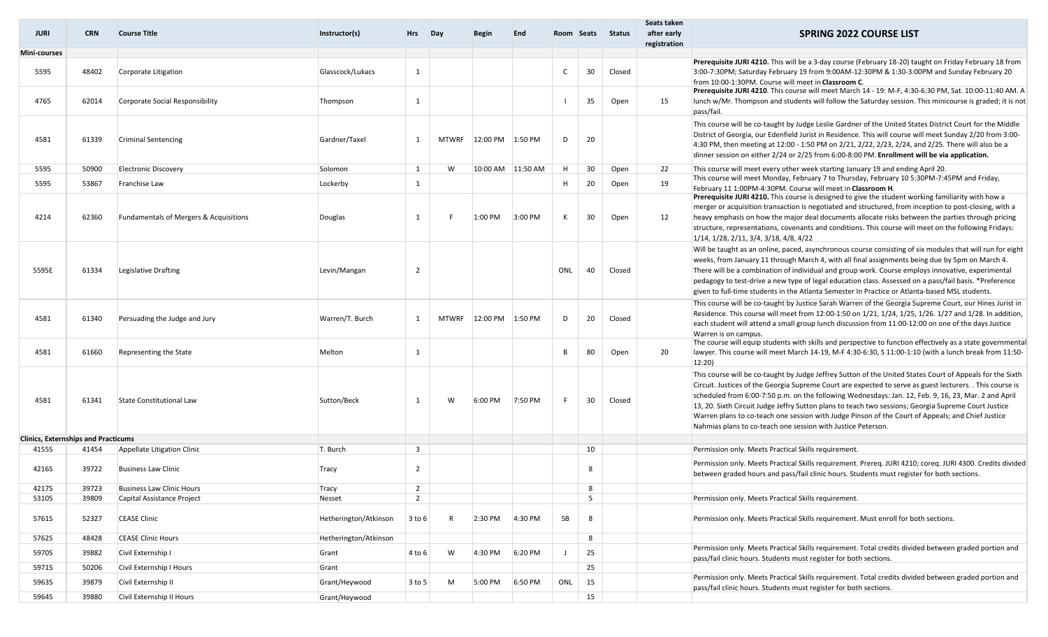| <b>JURI</b>                                | CRN.  | <b>Course Title</b>                               | Instructor(s)         | <b>Hrs</b>     | Day          | Begin             | End     |     |    | Room Seats Status | Seats taken<br>after early<br>registration | <b>SPRING 2022 COURSE LIST</b>                                                                                                                                                                                        |
|--------------------------------------------|-------|---------------------------------------------------|-----------------------|----------------|--------------|-------------------|---------|-----|----|-------------------|--------------------------------------------|-----------------------------------------------------------------------------------------------------------------------------------------------------------------------------------------------------------------------|
| Mini-courses                               |       |                                                   |                       |                |              |                   |         |     |    |                   |                                            |                                                                                                                                                                                                                       |
| 5595                                       | 48402 | Corporate Litigation                              | Glasscock/Lukacs      | 1              |              |                   |         |     | 30 | Closed            |                                            | Prerequisite JURI 4210. This will be a 3-day course (February 18-20) taught on Friday February 18 from<br>3:00-7:30PM; Saturday February 19 from 9:00AM-12:30PM & 1:30-3:00PM and Sunday February 20                  |
|                                            |       |                                                   |                       |                |              |                   |         |     |    |                   |                                            | from 10:00-1:30PM. Course will meet in Classroom C.                                                                                                                                                                   |
| 4765                                       | 62014 | Corporate Social Responsibility                   | Thompson              | 1              |              |                   |         |     | 35 | Open              | 15                                         | Prerequisite JURI 4210. This course will meet March 14 - 19: M-F, 4:30-6:30 PM, Sat. 10:00-11:40 AM. A<br>lunch w/Mr. Thompson and students will follow the Saturday session. This minicourse is graded; it is not    |
|                                            |       |                                                   |                       |                |              |                   |         |     |    |                   |                                            | pass/fail.                                                                                                                                                                                                            |
|                                            |       |                                                   |                       |                |              |                   |         |     |    |                   |                                            | This course will be co-taught by Judge Leslie Gardner of the United States District Court for the Middle<br>District of Georgia, our Edenfield Jurist in Residence. This will course will meet Sunday 2/20 from 3:00- |
| 4581                                       | 61339 | <b>Criminal Sentencing</b>                        | Gardner/Taxel         | 1              | MTWRF        | 12:00 PM          | 1:50 PM | D   | 20 |                   |                                            | 4:30 PM, then meeting at 12:00 - 1:50 PM on 2/21, 2/22, 2/23, 2/24, and 2/25. There will also be a                                                                                                                    |
|                                            |       |                                                   |                       |                |              |                   |         |     |    |                   |                                            | dinner session on either 2/24 or 2/25 from 6:00-8:00 PM. Enrollment will be via application.                                                                                                                          |
| 5595                                       | 50900 | <b>Electronic Discovery</b>                       | Solomon               | 1              | W            | 10:00 AM 11:50 AM |         | H   | 30 | Open              | 22                                         | This course will meet every other week starting January 19 and ending April 20.<br>This course will meet Monday, February 7 to Thursday, February 10 5:30PM-7:45PM and Friday,                                        |
| 5595                                       | 53867 | Franchise Law                                     | Lockerby              | 1              |              |                   |         | H   | 20 | Open              | 19                                         | February 11 1:00PM-4:30PM. Course will meet in Classroom H.                                                                                                                                                           |
|                                            |       |                                                   |                       |                |              |                   |         |     |    |                   |                                            | Prerequisite JURI 4210. This course is designed to give the student working familiarity with how a                                                                                                                    |
|                                            |       |                                                   |                       |                |              |                   |         |     |    |                   |                                            | merger or acquisition transaction is negotiated and structured, from inception to post-closing, with a                                                                                                                |
| 4214                                       | 62360 | <b>Fundamentals of Mergers &amp; Acquisitions</b> | Douglas               | 1              |              | $1:00$ PM         | 3:00 PM | к   | 30 | Open              | 12                                         | heavy emphasis on how the major deal documents allocate risks between the parties through pricing                                                                                                                     |
|                                            |       |                                                   |                       |                |              |                   |         |     |    |                   |                                            | structure, representations, covenants and conditions. This course will meet on the following Fridays:<br>1/14, 1/28, 2/11, 3/4, 3/18, 4/8, 4/22                                                                       |
|                                            |       |                                                   |                       |                |              |                   |         |     |    |                   |                                            | Will be taught as an online, paced, asynchronous course consisting of six modules that will run for eight                                                                                                             |
|                                            |       |                                                   |                       |                |              |                   |         |     |    |                   |                                            | weeks, from January 11 through March 4, with all final assignments being due by 5pm on March 4.                                                                                                                       |
| 5595E                                      | 61334 | Legislative Drafting                              | Levin/Mangan          | $\overline{2}$ |              |                   |         | ONL | 40 | Closed            |                                            | There will be a combination of individual and group work. Course employs innovative, experimental                                                                                                                     |
|                                            |       |                                                   |                       |                |              |                   |         |     |    |                   |                                            | pedagogy to test-drive a new type of legal education class. Assessed on a pass/fail basis. *Preference                                                                                                                |
|                                            |       |                                                   |                       |                |              |                   |         |     |    |                   |                                            | given to full-time students in the Atlanta Semester In Practice or Atlanta-based MSL students.                                                                                                                        |
|                                            |       |                                                   |                       |                |              |                   |         |     |    |                   |                                            | This course will be co-taught by Justice Sarah Warren of the Georgia Supreme Court, our Hines Jurist in<br>Residence. This course will meet from 12:00-1:50 on 1/21, 1/24, 1/25, 1/26. 1/27 and 1/28. In addition,    |
| 4581                                       | 61340 | Persuading the Judge and Jury                     | Warren/T. Burch       | 1              | <b>MTWRF</b> | 12:00 PM          | 1:50 PM | D   | 20 | Closed            |                                            | each student will attend a small group lunch discussion from 11:00-12:00 on one of the days Justice                                                                                                                   |
|                                            |       |                                                   |                       |                |              |                   |         |     |    |                   |                                            | Warren is on campus.                                                                                                                                                                                                  |
|                                            |       |                                                   |                       |                |              |                   |         |     |    |                   |                                            | The course will equip students with skills and perspective to function effectively as a state governmental                                                                                                            |
| 4581                                       | 61660 | Representing the State                            | Melton                | 1              |              |                   |         | B   | 80 | Open              | 20                                         | lawyer. This course will meet March 14-19, M-F 4:30-6:30, S 11:00-1:10 (with a lunch break from 11:50-<br>12:20                                                                                                       |
|                                            |       |                                                   |                       |                |              |                   |         |     |    |                   |                                            | This course will be co-taught by Judge Jeffrey Sutton of the United States Court of Appeals for the Sixth                                                                                                             |
|                                            |       |                                                   |                       |                |              |                   |         |     |    |                   |                                            | Circuit. Justices of the Georgia Supreme Court are expected to serve as guest lecturers. . This course is                                                                                                             |
| 4581                                       | 61341 | <b>State Constitutional Law</b>                   | Sutton/Beck           | 1              | W            | 6:00 PM           | 7:50 PM | F.  | 30 | Closed            |                                            | scheduled from 6:00-7:50 p.m. on the following Wednesdays: Jan. 12, Feb. 9, 16, 23, Mar. 2 and April                                                                                                                  |
|                                            |       |                                                   |                       |                |              |                   |         |     |    |                   |                                            | 13, 20. Sixth Circuit Judge Jeffry Sutton plans to teach two sessions; Georgia Supreme Court Justice<br>Warren plans to co-teach one session with Judge Pinson of the Court of Appeals; and Chief Justice             |
|                                            |       |                                                   |                       |                |              |                   |         |     |    |                   |                                            | Nahmias plans to co-teach one session with Justice Peterson.                                                                                                                                                          |
| <b>Clinics, Externships and Practicums</b> |       |                                                   |                       |                |              |                   |         |     |    |                   |                                            |                                                                                                                                                                                                                       |
| 4155S                                      | 41454 | Appellate Litigation Clinic                       | T. Burch              | $\overline{3}$ |              |                   |         |     | 10 |                   |                                            | Permission only. Meets Practical Skills requirement.                                                                                                                                                                  |
|                                            |       |                                                   |                       |                |              |                   |         |     |    |                   |                                            | Permission only. Meets Practical Skills requirement. Prereg. JURI 4210; coreg. JURI 4300. Credits divided                                                                                                             |
| 4216S                                      | 39722 | <b>Business Law Clinic</b>                        | Tracy                 | $\overline{2}$ |              |                   |         |     | 8  |                   |                                            | between graded hours and pass/fail clinic hours. Students must register for both sections.                                                                                                                            |
| 4217S                                      | 39723 | <b>Business Law Clinic Hours</b>                  | Tracy                 | $\overline{2}$ |              |                   |         |     | 8  |                   |                                            |                                                                                                                                                                                                                       |
| 5310S                                      | 39809 | Capital Assistance Project                        | Nesset                | $\overline{2}$ |              |                   |         |     | 5  |                   |                                            | Permission only. Meets Practical Skills requirement.                                                                                                                                                                  |
| 5761S                                      | 52327 | <b>CEASE Clinic</b>                               | Hetherington/Atkinson | $3$ to $6$     | R            | 2:30 PM           | 4:30 PM | SB  | 8  |                   |                                            | Permission only. Meets Practical Skills requirement. Must enroll for both sections.                                                                                                                                   |
|                                            |       |                                                   |                       |                |              |                   |         |     |    |                   |                                            |                                                                                                                                                                                                                       |
| 5762S                                      | 48428 | <b>CEASE Clinic Hours</b>                         | Hetherington/Atkinson |                |              |                   |         |     | 8  |                   |                                            |                                                                                                                                                                                                                       |
| 5970S                                      | 39882 | Civil Externship I                                | Grant                 | 4 to 6         | W            | 4:30 PM           | 6:20 PM |     | 25 |                   |                                            | Permission only. Meets Practical Skills requirement. Total credits divided between graded portion and<br>pass/fail clinic hours. Students must register for both sections.                                            |
| 5971S                                      | 50206 | Civil Externship I Hours                          | Grant                 |                |              |                   |         |     | 25 |                   |                                            |                                                                                                                                                                                                                       |
| 5963S                                      | 39879 | Civil Externship II                               | Grant/Heywood         | $3$ to 5       | M            | 5:00 PM           | 6:50 PM | ONL | 15 |                   |                                            | Permission only. Meets Practical Skills requirement. Total credits divided between graded portion and<br>pass/fail clinic hours. Students must register for both sections.                                            |
| 5964S                                      | 39880 | Civil Externship II Hours                         | Grant/Heywood         |                |              |                   |         |     | 15 |                   |                                            |                                                                                                                                                                                                                       |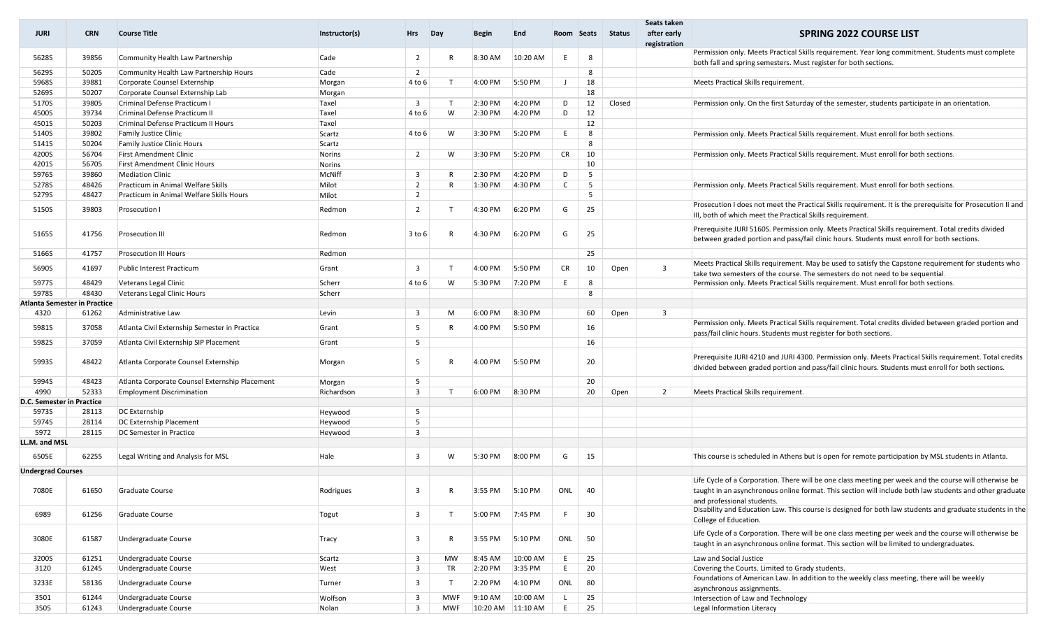| <b>JURI</b>                         | <b>CRN</b> | <b>Course Title</b>                            | Instructor(s) | <b>Hrs</b>              | Day          | Begin     | End      | Room Seats   |        | Status | Seats taken<br>after early<br>registration | <b>SPRING 2022 COURSE LIST</b>                                                                                                                                                                                                                  |  |
|-------------------------------------|------------|------------------------------------------------|---------------|-------------------------|--------------|-----------|----------|--------------|--------|--------|--------------------------------------------|-------------------------------------------------------------------------------------------------------------------------------------------------------------------------------------------------------------------------------------------------|--|
| 5628S                               | 39856      | Community Health Law Partnership               | Cade          | $\overline{2}$          | R            | 8:30 AM   | 10:20 AM | F.           | -8     |        |                                            | Permission only. Meets Practical Skills requirement. Year long commitment. Students must complete<br>both fall and spring semesters. Must register for both sections.                                                                           |  |
| 5629S                               | 50205      | Community Health Law Partnership Hours         | Cade          | $\overline{2}$          |              |           |          |              | 8      |        |                                            |                                                                                                                                                                                                                                                 |  |
| 5968S                               | 39881      | Corporate Counsel Externship                   | Morgan        | 4 to 6                  | T            | 4:00 PM   | 5:50 PM  | J            | 18     |        |                                            | Meets Practical Skills requirement.                                                                                                                                                                                                             |  |
| 5269S                               | 50207      | Corporate Counsel Externship Lab               | Morgan        |                         |              |           |          |              | 18     |        |                                            |                                                                                                                                                                                                                                                 |  |
| 5170S                               | 39805      | Criminal Defense Practicum I                   | Taxel         | $\overline{\mathbf{3}}$ | T            | 2:30 PM   | 4:20 PM  | D            | 12     | Closed |                                            | Permission only. On the first Saturday of the semester, students participate in an orientation                                                                                                                                                  |  |
| 4500S                               | 39734      | Criminal Defense Practicum II                  | Taxel         | 4 to 6                  | W            | 2:30 PM   | 4:20 PM  | D            | 12     |        |                                            |                                                                                                                                                                                                                                                 |  |
| 4501S                               | 50203      | Criminal Defense Practicum II Hours            | Taxel         |                         |              |           |          |              | 12     |        |                                            |                                                                                                                                                                                                                                                 |  |
| 5140S                               | 39802      | <b>Family Justice Clinic</b>                   | Scartz        | 4 to 6                  | W            | 3:30 PM   | 5:20 PM  | E            | -8     |        |                                            | Permission only. Meets Practical Skills requirement. Must enroll for both sections.                                                                                                                                                             |  |
| 5141S                               | 50204      | <b>Family Justice Clinic Hours</b>             | Scartz        |                         |              |           |          |              | 8      |        |                                            |                                                                                                                                                                                                                                                 |  |
| 4200S                               | 56704      | <b>First Amendment Clinic</b>                  | Norins        | $\overline{2}$          | W            | 3:30 PM   | 5:20 PM  | CR           | 10     |        |                                            | Permission only. Meets Practical Skills requirement. Must enroll for both sections.                                                                                                                                                             |  |
| 4201S                               | 56705      | <b>First Amendment Clinic Hours</b>            | Norins        |                         |              |           |          |              | 10     |        |                                            |                                                                                                                                                                                                                                                 |  |
| 5976S                               | 39860      | <b>Mediation Clinic</b>                        | McNiff        | $\overline{\mathbf{3}}$ | $\mathsf{R}$ | 2:30 PM   | 4:20 PM  | D            | -5     |        |                                            |                                                                                                                                                                                                                                                 |  |
| 5278S                               | 48426      | Practicum in Animal Welfare Skills             | Milot         | $\overline{2}$          | $\mathsf{R}$ | 1:30 PM   | 4:30 PM  | $\mathsf{C}$ | - 5    |        |                                            | Permission only. Meets Practical Skills requirement. Must enroll for both sections.                                                                                                                                                             |  |
| 5279S                               | 48427      | Practicum in Animal Welfare Skills Hours       | Milot         | $\overline{2}$          |              |           |          |              | -5     |        |                                            |                                                                                                                                                                                                                                                 |  |
| 5150S                               | 39803      | Prosecution I                                  | Redmon        | $\overline{2}$          | T            | 4:30 PM   | 6:20 PM  | G            | 25     |        |                                            | Prosecution I does not meet the Practical Skills requirement. It is the prerequisite for Prosecution II and<br>III, both of which meet the Practical Skills requirement.                                                                        |  |
| 5165S                               | 41756      | Prosecution III                                | Redmon        | 3 to 6                  | $\mathsf{R}$ | 4:30 PM   | 6:20 PM  | G            | 25     |        |                                            | Prerequisite JURI 5160S. Permission only. Meets Practical Skills requirement. Total credits divided<br>between graded portion and pass/fail clinic hours. Students must enroll for both sections.                                               |  |
| 5166S                               | 41757      | <b>Prosecution III Hours</b>                   | Redmon        |                         |              |           |          |              | 25     |        |                                            |                                                                                                                                                                                                                                                 |  |
| 5690S                               | 41697      | Public Interest Practicum                      | Grant         | 3                       | T            | 4:00 PM   | 5:50 PM  | <b>CR</b>    | 10     | Open   | $\overline{\mathbf{3}}$                    | Meets Practical Skills requirement. May be used to satisfy the Capstone requirement for students who<br>take two semesters of the course. The semesters do not need to be sequential.                                                           |  |
| 5977S                               | 48429      | Veterans Legal Clinic                          | Scherr        | 4 to 6                  | W            | 5:30 PM   | 7:20 PM  | E            | 8      |        |                                            | Permission only. Meets Practical Skills requirement. Must enroll for both sections.                                                                                                                                                             |  |
| 5978S                               | 48430      | Veterans Legal Clinic Hours                    | Scherr        |                         |              |           |          |              | 8      |        |                                            |                                                                                                                                                                                                                                                 |  |
| <b>Atlanta Semester in Practice</b> |            |                                                |               |                         |              |           |          |              |        |        |                                            |                                                                                                                                                                                                                                                 |  |
| 4320                                | 61262      | Administrative Law                             | Levin         | $\overline{\mathbf{3}}$ | M            | 6:00 PM   | 8:30 PM  |              | 60     | Open   | $\overline{\mathbf{3}}$                    |                                                                                                                                                                                                                                                 |  |
| 5981S                               | 37058      | Atlanta Civil Externship Semester in Practice  | Grant         | 5                       | R            | 4:00 PM   | 5:50 PM  |              | 16     |        |                                            | Permission only. Meets Practical Skills requirement. Total credits divided between graded portion and<br>pass/fail clinic hours. Students must register for both sections.                                                                      |  |
| 5982S                               | 37059      | Atlanta Civil Externship SIP Placement         | Grant         | 5                       |              |           |          |              | 16     |        |                                            |                                                                                                                                                                                                                                                 |  |
| 5993S                               | 48422      | Atlanta Corporate Counsel Externship           | Morgan        | -5                      | R            | 4:00 PM   | 5:50 PM  |              | 20     |        |                                            | Prerequisite JURI 4210 and JURI 4300. Permission only. Meets Practical Skills requirement. Total credits<br>divided between graded portion and pass/fail clinic hours. Students must enroll for both sections.                                  |  |
| 5994S                               | 48423      | Atlanta Corporate Counsel Externship Placement | Morgan        | 5                       |              |           |          |              | 20     |        |                                            |                                                                                                                                                                                                                                                 |  |
| 4990                                | 52333      | <b>Employment Discrimination</b>               | Richardson    | $\overline{\mathbf{3}}$ | T            | 6:00 PM   | 8:30 PM  |              | 20     | Open   | $\overline{2}$                             | Meets Practical Skills requirement.                                                                                                                                                                                                             |  |
| D.C. Semester in Practice           |            |                                                |               |                         |              |           |          |              |        |        |                                            |                                                                                                                                                                                                                                                 |  |
| 5973S                               | 28113      | DC Externship                                  | Heywood       | 5                       |              |           |          |              |        |        |                                            |                                                                                                                                                                                                                                                 |  |
| 5974S                               | 28114      | DC Externship Placement                        | Heywood       | 5                       |              |           |          |              |        |        |                                            |                                                                                                                                                                                                                                                 |  |
| 5972                                | 28115      | DC Semester in Practice                        | Heywood       | $\overline{\mathbf{3}}$ |              |           |          |              |        |        |                                            |                                                                                                                                                                                                                                                 |  |
| LL.M. and MSL                       |            |                                                |               |                         |              |           |          |              |        |        |                                            |                                                                                                                                                                                                                                                 |  |
| 6505E                               | 62255      | Legal Writing and Analysis for MSL             | Hale          | 3                       | W            | 5:30 PM   | 8:00 PM  | G            | 15     |        |                                            | This course is scheduled in Athens but is open for remote participation by MSL students in Atlanta.                                                                                                                                             |  |
| <b>Undergrad Courses</b>            |            |                                                |               |                         |              |           |          |              |        |        |                                            |                                                                                                                                                                                                                                                 |  |
| 7080E                               | 61650      | Graduate Course                                | Rodrigues     | 3                       | R            | 3:55 PM   | 5:10 PM  |              | ONL 40 |        |                                            | Life Cycle of a Corporation. There will be one class meeting per week and the course will otherwise be<br>taught in an asynchronous online format. This section will include both law students and other graduate<br>and professional students. |  |
| 6989                                | 61256      | Graduate Course                                | Togut         | 3                       | T            | 5:00 PM   | 7:45 PM  | F            | 30     |        |                                            | Disability and Education Law. This course is designed for both law students and graduate students in the<br>College of Education.                                                                                                               |  |
| 3080E                               | 61587      | Undergraduate Course                           | Tracy         | 3                       | R            | 3:55 PM   | 5:10 PM  | ONL          | 50     |        |                                            | Life Cycle of a Corporation. There will be one class meeting per week and the course will otherwise be<br>taught in an asynchronous online format. This section will be limited to undergraduates.                                              |  |
| 3200S                               | 61251      | Undergraduate Course                           | Scartz        | $\overline{\mathbf{3}}$ | MW           | 8:45 AM   | 10:00 AM | E            | 25     |        |                                            | Law and Social Justice                                                                                                                                                                                                                          |  |
| 3120                                | 61245      | Undergraduate Course                           | West          | $\overline{\mathbf{3}}$ | TR           | 2:20 PM   | 3:35 PM  | E            | 20     |        |                                            | Covering the Courts. Limited to Grady students.                                                                                                                                                                                                 |  |
| 3233E                               | 58136      | Undergraduate Course                           | Turner        | $\overline{\mathbf{3}}$ | $\mathsf{T}$ | 2:20 PM   | 4:10 PM  | ONL          | 80     |        |                                            | Foundations of American Law. In addition to the weekly class meeting, there will be weekly<br>asynchronous assignments.                                                                                                                         |  |
| 3501                                | 61244      | Undergraduate Course                           | Wolfson       | $\overline{\mathbf{3}}$ | <b>MWF</b>   | $9:10$ AM | 10:00 AM | $\mathsf{L}$ | 25     |        |                                            | Intersection of Law and Technology                                                                                                                                                                                                              |  |
|                                     |            |                                                |               |                         |              |           |          |              |        |        |                                            |                                                                                                                                                                                                                                                 |  |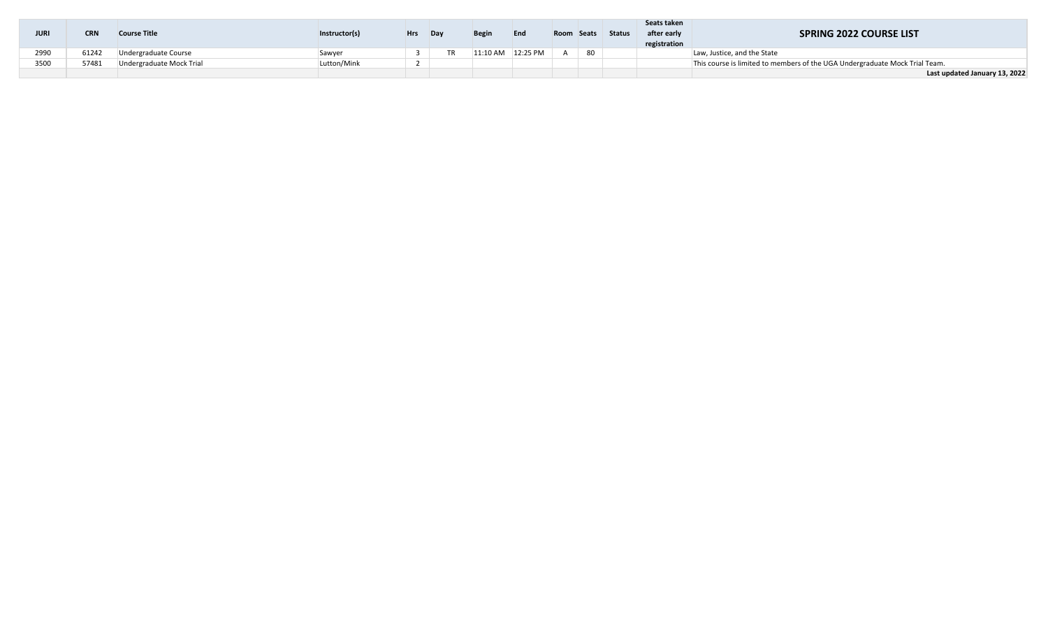| <b>JURI</b> | CRN   | <b>Course Title</b>      | Instructor(s) | <b>Hrs</b> | Dav | <b>Begin</b> | End      | Room Seats |    | <b>Status</b> | Seats taken<br>after early<br>registration | <b>SPRING 2022 COURSE LIST</b>                                              |
|-------------|-------|--------------------------|---------------|------------|-----|--------------|----------|------------|----|---------------|--------------------------------------------|-----------------------------------------------------------------------------|
| 2990        | 61242 | Undergraduate Course     | Sawyer        |            |     | 11:10 AM     | 12:25 PM |            | 80 |               |                                            | Law, Justice, and the State                                                 |
| 3500        | 57481 | Undergraduate Mock Trial | Lutton/Mink   |            |     |              |          |            |    |               |                                            | This course is limited to members of the UGA Undergraduate Mock Trial Team. |
|             |       |                          |               |            |     |              |          |            |    |               |                                            | Last updated January 13, 2022                                               |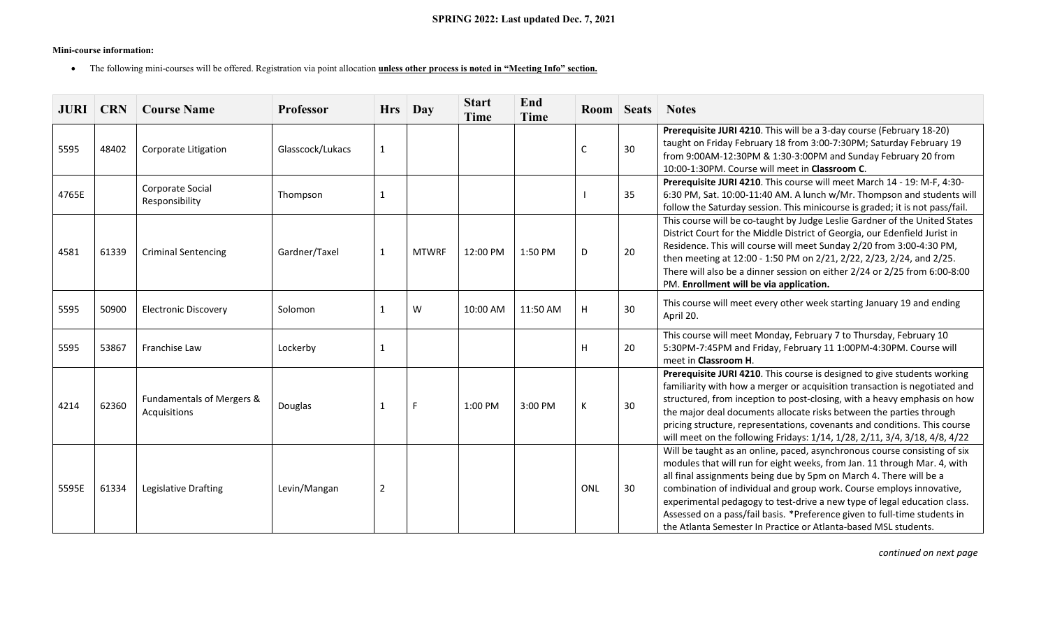# **Mini-course information:**

• The following mini-courses will be offered. Registration via point allocation **unless other process is noted in "Meeting Info" section.**

|       | <b>JURI   CRN</b> | <b>Course Name</b>                        | Professor        |                | $Hrs$ Day    | <b>Start</b><br><b>Time</b> | End<br><b>Time</b> |            | Room Seats | <b>Notes</b>                                                                                                                                                                                                                                                                                                                                                                                                                                                                                                                    |
|-------|-------------------|-------------------------------------------|------------------|----------------|--------------|-----------------------------|--------------------|------------|------------|---------------------------------------------------------------------------------------------------------------------------------------------------------------------------------------------------------------------------------------------------------------------------------------------------------------------------------------------------------------------------------------------------------------------------------------------------------------------------------------------------------------------------------|
| 5595  | 48402             | Corporate Litigation                      | Glasscock/Lukacs | $\mathbf{1}$   |              |                             |                    | C          | 30         | Prerequisite JURI 4210. This will be a 3-day course (February 18-20)<br>taught on Friday February 18 from 3:00-7:30PM; Saturday February 19<br>from 9:00AM-12:30PM & 1:30-3:00PM and Sunday February 20 from<br>10:00-1:30PM. Course will meet in Classroom C.                                                                                                                                                                                                                                                                  |
| 4765E |                   | Corporate Social<br>Responsibility        | Thompson         | $\mathbf{1}$   |              |                             |                    |            | 35         | Prerequisite JURI 4210. This course will meet March 14 - 19: M-F, 4:30-<br>6:30 PM, Sat. 10:00-11:40 AM. A lunch w/Mr. Thompson and students will<br>follow the Saturday session. This minicourse is graded; it is not pass/fail.                                                                                                                                                                                                                                                                                               |
| 4581  | 61339             | <b>Criminal Sentencing</b>                | Gardner/Taxel    | $\mathbf{1}$   | <b>MTWRF</b> | 12:00 PM                    | 1:50 PM            | D          | 20         | This course will be co-taught by Judge Leslie Gardner of the United States<br>District Court for the Middle District of Georgia, our Edenfield Jurist in<br>Residence. This will course will meet Sunday 2/20 from 3:00-4:30 PM,<br>then meeting at 12:00 - 1:50 PM on 2/21, 2/22, 2/23, 2/24, and 2/25.<br>There will also be a dinner session on either 2/24 or 2/25 from 6:00-8:00<br>PM. Enrollment will be via application.                                                                                                |
| 5595  | 50900             | <b>Electronic Discovery</b>               | Solomon          | $\mathbf{1}$   | W            | 10:00 AM                    | 11:50 AM           | H.         | 30         | This course will meet every other week starting January 19 and ending<br>April 20.                                                                                                                                                                                                                                                                                                                                                                                                                                              |
| 5595  | 53867             | Franchise Law                             | Lockerby         | 1              |              |                             |                    | H          | 20         | This course will meet Monday, February 7 to Thursday, February 10<br>5:30PM-7:45PM and Friday, February 11 1:00PM-4:30PM. Course will<br>meet in Classroom H.                                                                                                                                                                                                                                                                                                                                                                   |
| 4214  | 62360             | Fundamentals of Mergers &<br>Acquisitions | Douglas          | 1              | F            | 1:00 PM                     | 3:00 PM            | К          | 30         | Prerequisite JURI 4210. This course is designed to give students working<br>familiarity with how a merger or acquisition transaction is negotiated and<br>structured, from inception to post-closing, with a heavy emphasis on how<br>the major deal documents allocate risks between the parties through<br>pricing structure, representations, covenants and conditions. This course<br>will meet on the following Fridays: 1/14, 1/28, 2/11, 3/4, 3/18, 4/8, 4/22                                                            |
| 5595E | 61334             | Legislative Drafting                      | Levin/Mangan     | $\overline{2}$ |              |                             |                    | <b>ONL</b> | 30         | Will be taught as an online, paced, asynchronous course consisting of six<br>modules that will run for eight weeks, from Jan. 11 through Mar. 4, with<br>all final assignments being due by 5pm on March 4. There will be a<br>combination of individual and group work. Course employs innovative,<br>experimental pedagogy to test-drive a new type of legal education class.<br>Assessed on a pass/fail basis. *Preference given to full-time students in<br>the Atlanta Semester In Practice or Atlanta-based MSL students. |

*continued on next page*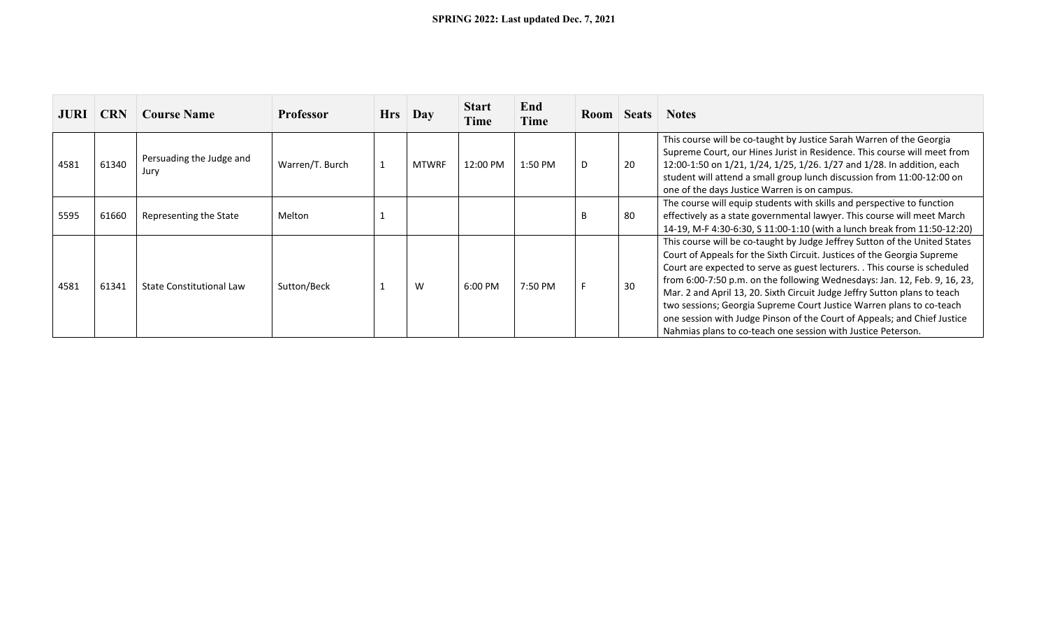| <b>JURI</b> | <b>CRN</b> | <b>Course Name</b>               | <b>Professor</b> | <b>Hrs</b> | Day   | <b>Start</b><br>Time | End<br>Time | Room |    | <b>Seats</b> Notes                                                                                                                                                                                                                                                                                                                                                                                                                                                                                                                                                                                                |
|-------------|------------|----------------------------------|------------------|------------|-------|----------------------|-------------|------|----|-------------------------------------------------------------------------------------------------------------------------------------------------------------------------------------------------------------------------------------------------------------------------------------------------------------------------------------------------------------------------------------------------------------------------------------------------------------------------------------------------------------------------------------------------------------------------------------------------------------------|
| 4581        | 61340      | Persuading the Judge and<br>Jury | Warren/T. Burch  |            | MTWRF | 12:00 PM             | 1:50 PM     | D    | 20 | This course will be co-taught by Justice Sarah Warren of the Georgia<br>Supreme Court, our Hines Jurist in Residence. This course will meet from<br>12:00-1:50 on 1/21, 1/24, 1/25, 1/26. 1/27 and 1/28. In addition, each<br>student will attend a small group lunch discussion from 11:00-12:00 on<br>one of the days Justice Warren is on campus.                                                                                                                                                                                                                                                              |
| 5595        | 61660      | Representing the State           | Melton           |            |       |                      |             | B    | 80 | The course will equip students with skills and perspective to function<br>effectively as a state governmental lawyer. This course will meet March<br>14-19, M-F 4:30-6:30, S 11:00-1:10 (with a lunch break from 11:50-12:20)                                                                                                                                                                                                                                                                                                                                                                                     |
| 4581        | 61341      | State Constitutional Law         | Sutton/Beck      |            | W     | 6:00 PM              | 7:50 PM     |      | 30 | This course will be co-taught by Judge Jeffrey Sutton of the United States<br>Court of Appeals for the Sixth Circuit. Justices of the Georgia Supreme<br>Court are expected to serve as guest lecturers. . This course is scheduled<br>from 6:00-7:50 p.m. on the following Wednesdays: Jan. 12, Feb. 9, 16, 23,<br>Mar. 2 and April 13, 20. Sixth Circuit Judge Jeffry Sutton plans to teach<br>two sessions; Georgia Supreme Court Justice Warren plans to co-teach<br>one session with Judge Pinson of the Court of Appeals; and Chief Justice<br>Nahmias plans to co-teach one session with Justice Peterson. |